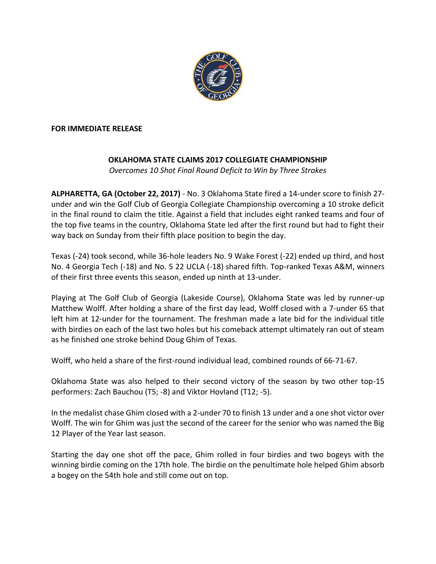

#### **FOR IMMEDIATE RELEASE**

# **OKLAHOMA STATE CLAIMS 2017 COLLEGIATE CHAMPIONSHIP**

*Overcomes 10 Shot Final Round Deficit to Win by Three Strokes*

**ALPHARETTA, GA (October 22, 2017)** - No. 3 Oklahoma State fired a 14-under score to finish 27 under and win the Golf Club of Georgia Collegiate Championship overcoming a 10 stroke deficit in the final round to claim the title. Against a field that includes eight ranked teams and four of the top five teams in the country, Oklahoma State led after the first round but had to fight their way back on Sunday from their fifth place position to begin the day.

Texas (-24) took second, while 36-hole leaders No. 9 Wake Forest (-22) ended up third, and host No. 4 Georgia Tech (-18) and No. 5 22 UCLA (-18) shared fifth. Top-ranked Texas A&M, winners of their first three events this season, ended up ninth at 13-under.

Playing at The Golf Club of Georgia (Lakeside Course), Oklahoma State was led by runner-up Matthew Wolff. After holding a share of the first day lead, Wolff closed with a 7-under 65 that left him at 12-under for the tournament. The freshman made a late bid for the individual title with birdies on each of the last two holes but his comeback attempt ultimately ran out of steam as he finished one stroke behind Doug Ghim of Texas.

Wolff, who held a share of the first-round individual lead, combined rounds of 66-71-67.

Oklahoma State was also helped to their second victory of the season by two other top-15 performers: Zach Bauchou (T5; -8) and Viktor Hovland (T12; -5).

In the medalist chase Ghim closed with a 2-under 70 to finish 13 under and a one shot victor over Wolff. The win for Ghim was just the second of the career for the senior who was named the Big 12 Player of the Year last season.

Starting the day one shot off the pace, Ghim rolled in four birdies and two bogeys with the winning birdie coming on the 17th hole. The birdie on the penultimate hole helped Ghim absorb a bogey on the 54th hole and still come out on top.